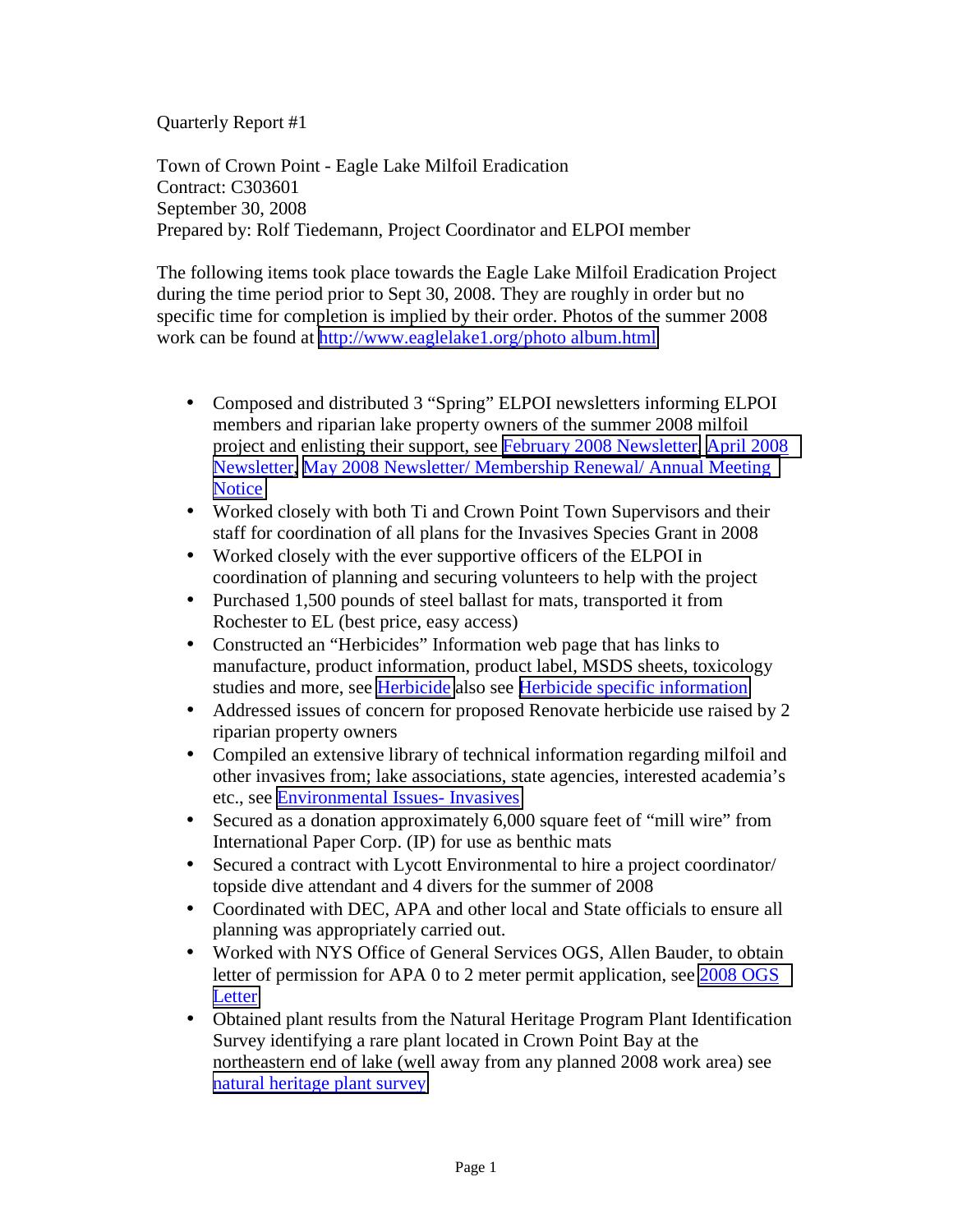Quarterly Report #1

Town of Crown Point - Eagle Lake Milfoil Eradication Contract: C303601 September 30, 2008 Prepared by: Rolf Tiedemann, Project Coordinator and ELPOI member

The following items took place towards the Eagle Lake Milfoil Eradication Project during the time period prior to Sept 30, 2008. They are roughly in order but no specific time for completion is implied by their order. Photos of the summer 2008 work can be found at<http://www.eaglelake1.org/photo album.html>

- Composed and distributed 3 "Spring" ELPOI newsletters informing ELPOI members and riparian lake property owners of the summer 2008 milfoil project and enlisting their support, see [February 2008 Newsletter,](http://www.eaglelake1.org/PDF.FILES/Feb.08.Newsletter.pdf) [April 2008](http://www.eaglelake1.org/archives/newsletter/2008/april_2008.pdf)  [Newsletter,](http://www.eaglelake1.org/archives/newsletter/2008/april_2008.pdf) [May 2008 Newsletter/ Membership Renewal/ Annual Meeting](http://www.eaglelake1.org/archives/newsletter/2008/May 2008 compiled membership renewal. pdf.pdf)  **[Notice](http://www.eaglelake1.org/archives/newsletter/2008/May 2008 compiled membership renewal. pdf.pdf)**
- Worked closely with both Ti and Crown Point Town Supervisors and their staff for coordination of all plans for the Invasives Species Grant in 2008
- Worked closely with the ever supportive officers of the ELPOI in coordination of planning and securing volunteers to help with the project
- Purchased 1,500 pounds of steel ballast for mats, transported it from Rochester to EL (best price, easy access)
- Constructed an "Herbicides" Information web page that has links to manufacture, product information, product label, MSDS sheets, toxicology studies and more, see [Herbicide](http://www.eaglelake1.org/milfoilproject.html#herbicide) also see [Herbicide specific information](http://www.eaglelake1.org/archives/Invasive species information/aquatic/milfoil/management/html/herbicide.html)
- Addressed issues of concern for proposed Renovate herbicide use raised by 2 riparian property owners
- Compiled an extensive library of technical information regarding milfoil and other invasives from; lake associations, state agencies, interested academia's etc., see [Environmental Issues- Invasives](http://www.eaglelake1.org/environmental_issues.html#Invasives)
- Secured as a donation approximately 6,000 square feet of "mill wire" from International Paper Corp. (IP) for use as benthic mats
- Secured a contract with Lycott Environmental to hire a project coordinator/ topside dive attendant and 4 divers for the summer of 2008
- Coordinated with DEC, APA and other local and State officials to ensure all planning was appropriately carried out.
- Worked with NYS Office of General Services OGS, Allen Bauder, to obtain letter of permission for APA 0 to 2 meter permit application, see [2008 OGS](http://www.eaglelake1.org/archives/permits/2008_OGS_Letter_Water_less_than_2_meters.pdf)  **[Letter](http://www.eaglelake1.org/archives/permits/2008_OGS_Letter_Water_less_than_2_meters.pdf)**
- Obtained plant results from the Natural Heritage Program Plant Identification Survey identifying a rare plant located in Crown Point Bay at the northeastern end of lake (well away from any planned 2008 work area) see [natural heritage plant survey](http://www.eaglelake1.org/archives/reports/plant surveys/Eagle Lake Natural Heritage 1988 survey forms.pdf)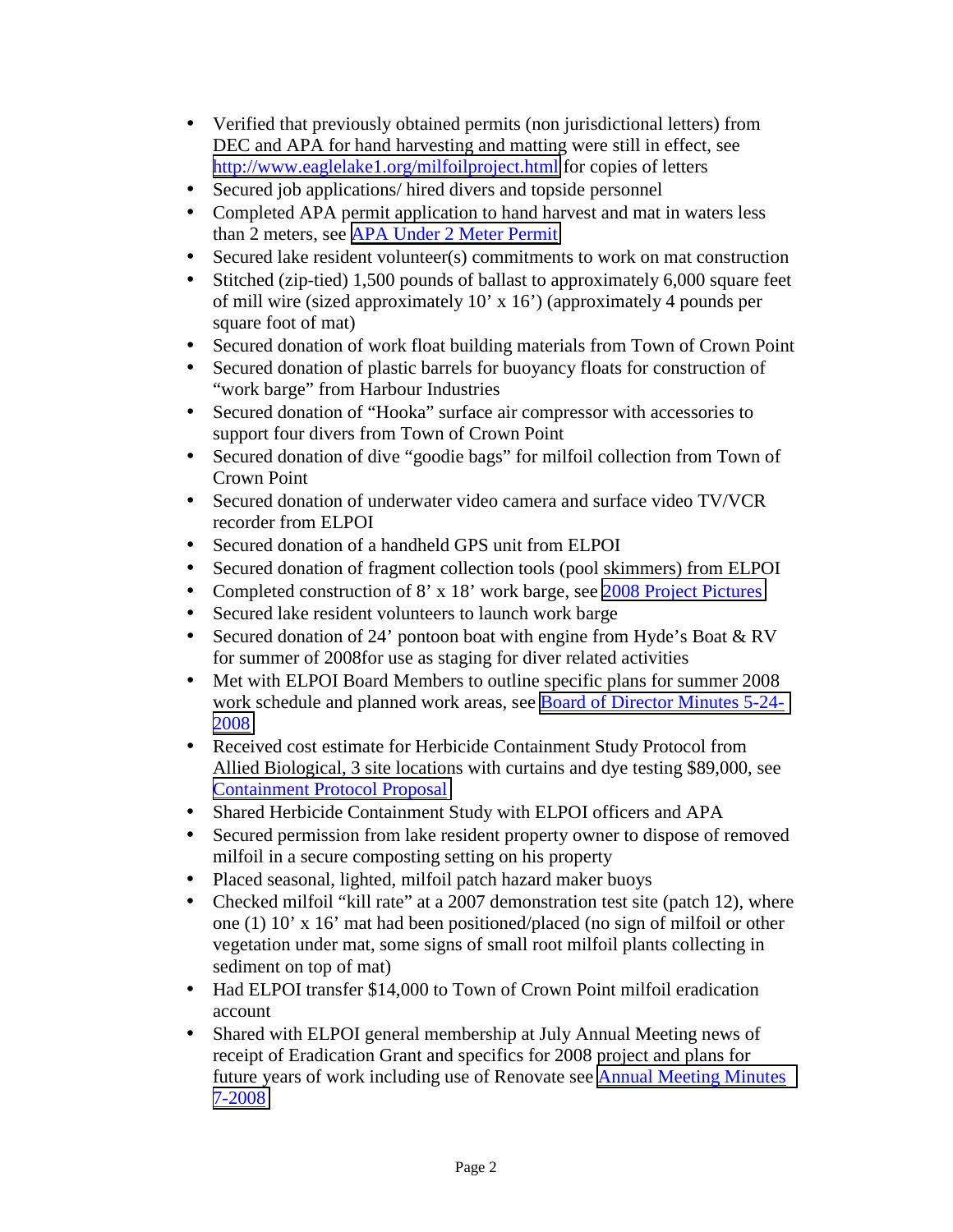- Verified that previously obtained permits (non jurisdictional letters) from DEC and APA for hand harvesting and matting were still in effect, see <http://www.eaglelake1.org/milfoilproject.html>for copies of letters
- Secured job applications/ hired divers and topside personnel
- Completed APA permit application to hand harvest and mat in waters less than 2 meters, see [APA Under 2 Meter Permit](http://www.eaglelake1.org/archives/permits/APA/under 2 meter APA permit application final 7-19-2008.pdf)
- Secured lake resident volunteer(s) commitments to work on mat construction
- Stitched (zip-tied) 1,500 pounds of ballast to approximately 6,000 square feet of mill wire (sized approximately 10' x 16') (approximately 4 pounds per square foot of mat)
- Secured donation of work float building materials from Town of Crown Point
- Secured donation of plastic barrels for buoyancy floats for construction of "work barge" from Harbour Industries
- Secured donation of "Hooka" surface air compressor with accessories to support four divers from Town of Crown Point
- Secured donation of dive "goodie bags" for milfoil collection from Town of Crown Point
- Secured donation of underwater video camera and surface video TV/VCR recorder from ELPOI
- Secured donation of a handheld GPS unit from ELPOI
- Secured donation of fragment collection tools (pool skimmers) from ELPOI
- Completed construction of 8' x 18' work barge, see [2008 Project Pictures](http://www.eaglelake1.org/images/2008_photos/miscallaneous_project_pics/miscallaneous.html)
- Secured lake resident volunteers to launch work barge
- Secured donation of 24' pontoon boat with engine from Hyde's Boat & RV for summer of 2008for use as staging for diver related activities
- Met with ELPOI Board Members to outline specific plans for summer 2008 work schedule and planned work areas, see [Board of Director Minutes 5-24-](http://www.eaglelake1.org/archives/minutes/board/2008/Minutes Board meeting 5-24-2008.pdf) [2008](http://www.eaglelake1.org/archives/minutes/board/2008/Minutes Board meeting 5-24-2008.pdf)
- Received cost estimate for Herbicide Containment Study Protocol from Allied Biological, 3 site locations with curtains and dye testing \$89,000, see [Containment Protocol Proposal](http://www.eaglelake1.org/milfoil_project/curtains/2008-6 Eagle Lake Containment Study Protocol Draft 61708-1.pdf)
- Shared Herbicide Containment Study with ELPOI officers and APA
- Secured permission from lake resident property owner to dispose of removed milfoil in a secure composting setting on his property
- Placed seasonal, lighted, milfoil patch hazard maker buoys
- Checked milfoil "kill rate" at a 2007 demonstration test site (patch 12), where one (1) 10' x 16' mat had been positioned/placed (no sign of milfoil or other vegetation under mat, some signs of small root milfoil plants collecting in sediment on top of mat)
- Had ELPOI transfer \$14,000 to Town of Crown Point milfoil eradication account
- Shared with ELPOI general membership at July Annual Meeting news of receipt of Eradication Grant and specifics for 2008 project and plans for future years of work including use of Renovate see **Annual Meeting Minutes** [7-2008](http://www.eaglelake1.org/archives/minutes/annual/2008/07-2008_annual_meeting.pdf)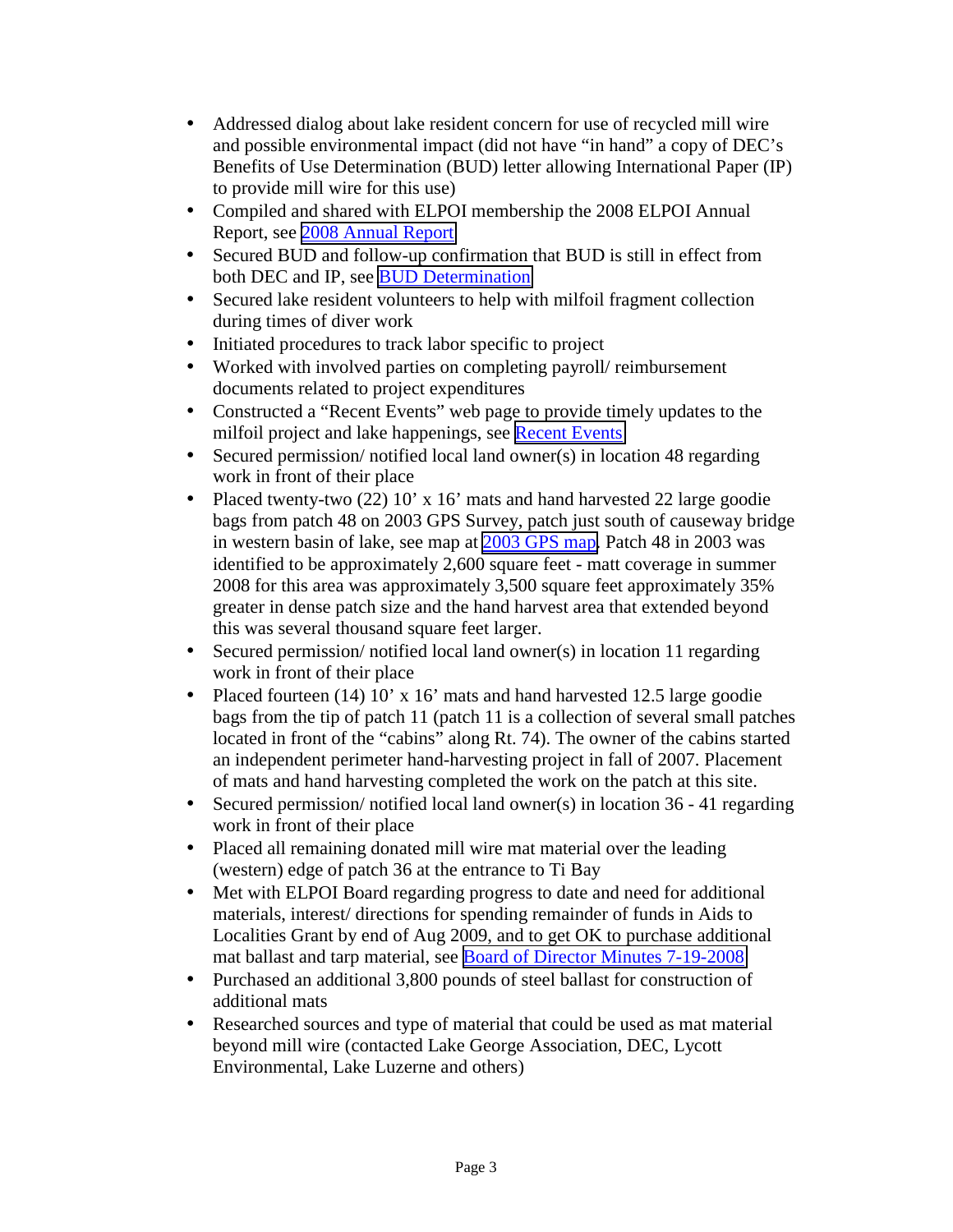- Addressed dialog about lake resident concern for use of recycled mill wire and possible environmental impact (did not have "in hand" a copy of DEC's Benefits of Use Determination (BUD) letter allowing International Paper (IP) to provide mill wire for this use)
- Compiled and shared with ELPOI membership the 2008 ELPOI Annual Report, see [2008 Annual Report](http://www.eaglelake1.org/archives/minutes/annual/2008/annual_report_6-2008.pdf)
- Secured BUD and follow-up confirmation that BUD is still in effect from both DEC and IP, see [BUD Determination](http://www.eaglelake1.org/archives/regulatory agencies/DEC/BUD benificial use determination letter IP.pdf)
- Secured lake resident volunteers to help with milfoil fragment collection during times of diver work
- Initiated procedures to track labor specific to project
- Worked with involved parties on completing payroll/ reimbursement documents related to project expenditures
- Constructed a "Recent Events" web page to provide timely updates to the milfoil project and lake happenings, see [Recent Events](http://www.eaglelake1.org/archives/recent/recent2008.html)
- Secured permission/ notified local land owner(s) in location 48 regarding work in front of their place
- Placed twenty-two  $(22)$  10' x 16' mats and hand harvested 22 large goodie bags from patch 48 on 2003 GPS Survey, patch just south of causeway bridge in western basin of lake, see map at [2003 GPS map.](http://www.eaglelake1.org/archives/reports/gps survey/images/Large.Full.Lake.Image.jpg) Patch 48 in 2003 was identified to be approximately 2,600 square feet - matt coverage in summer 2008 for this area was approximately 3,500 square feet approximately 35% greater in dense patch size and the hand harvest area that extended beyond this was several thousand square feet larger.
- Secured permission/ notified local land owner(s) in location 11 regarding work in front of their place
- Placed fourteen (14) 10' x 16' mats and hand harvested 12.5 large goodie bags from the tip of patch 11 (patch 11 is a collection of several small patches located in front of the "cabins" along Rt. 74). The owner of the cabins started an independent perimeter hand-harvesting project in fall of 2007. Placement of mats and hand harvesting completed the work on the patch at this site.
- Secured permission/ notified local land owner(s) in location 36 41 regarding work in front of their place
- Placed all remaining donated mill wire mat material over the leading (western) edge of patch 36 at the entrance to Ti Bay
- Met with ELPOI Board regarding progress to date and need for additional materials, interest/ directions for spending remainder of funds in Aids to Localities Grant by end of Aug 2009, and to get OK to purchase additional mat ballast and tarp material, see [Board of Director Minutes 7-19-2008](http://www.eaglelake1.org/archives/minutes/board/2008/07-19-2008_board_minutes.pdf)
- Purchased an additional 3,800 pounds of steel ballast for construction of additional mats
- Researched sources and type of material that could be used as mat material beyond mill wire (contacted Lake George Association, DEC, Lycott Environmental, Lake Luzerne and others)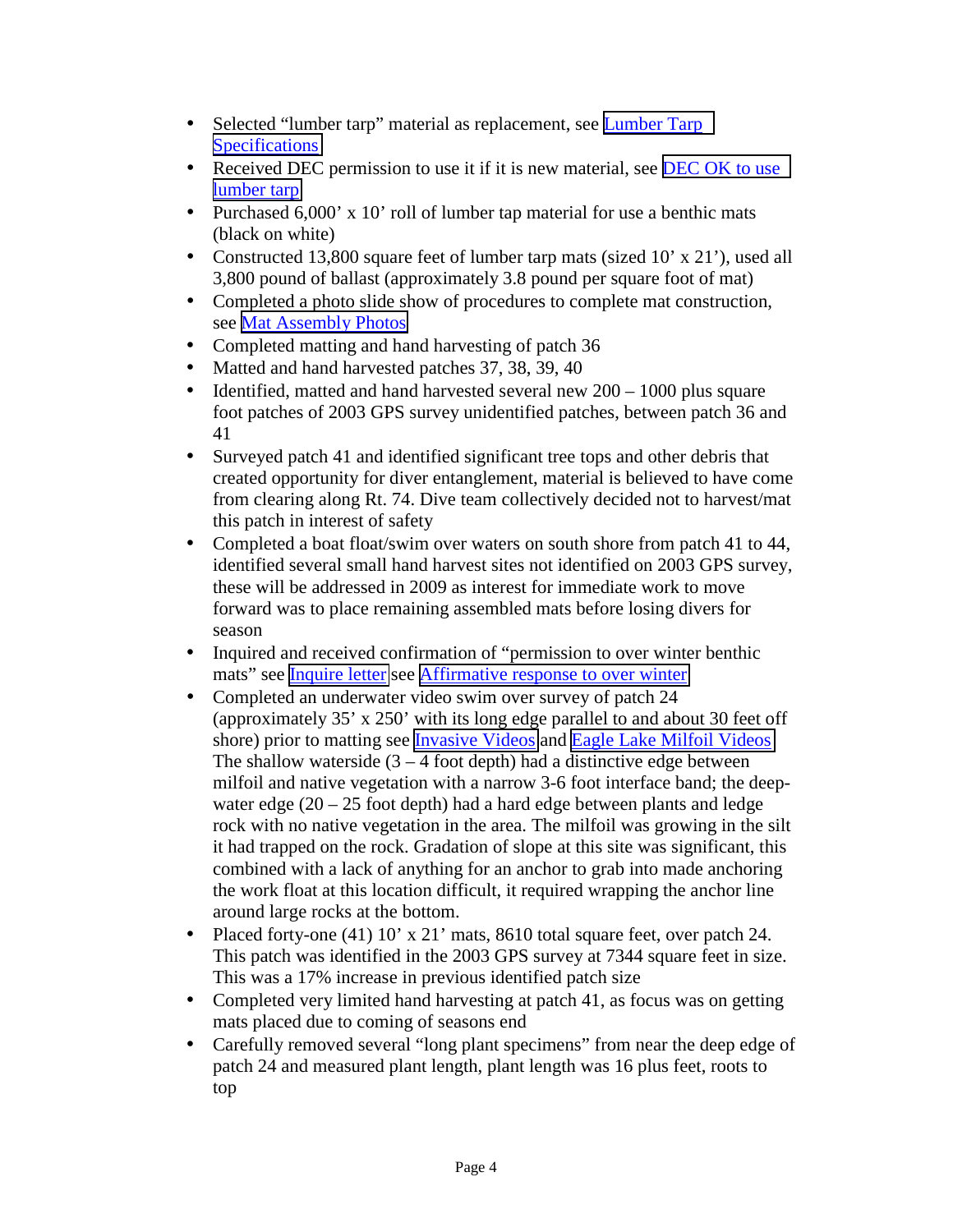- Selected "lumber tarp" material as replacement, see **Lumber Tarp [Specifications](http://www.eaglelake1.org/archives/control_information/DURATEX_EXTRA - MSDS.pdf)**
- Received DEC permission to use it if it is new material, see DEC OK to use [lumber tarp](http://www.eaglelake1.org/archives/permits/lumber_tarp.pdf)
- Purchased 6,000' x 10' roll of lumber tap material for use a benthic mats (black on white)
- Constructed 13,800 square feet of lumber tarp mats (sized 10' x 21'), used all 3,800 pound of ballast (approximately 3.8 pound per square foot of mat)
- Completed a photo slide show of procedures to complete mat construction, see [Mat Assembly Photos](http://www.eaglelake1.org/images/2008_photos/matt_assembly/matt_assembly.html)
- Completed matting and hand harvesting of patch 36
- Matted and hand harvested patches 37, 38, 39, 40
- Identified, matted and hand harvested several new  $200 1000$  plus square foot patches of 2003 GPS survey unidentified patches, between patch 36 and 41
- Surveyed patch 41 and identified significant tree tops and other debris that created opportunity for diver entanglement, material is believed to have come from clearing along Rt. 74. Dive team collectively decided not to harvest/mat this patch in interest of safety
- Completed a boat float/swim over waters on south shore from patch 41 to 44, identified several small hand harvest sites not identified on 2003 GPS survey, these will be addressed in 2009 as interest for immediate work to move forward was to place remaining assembled mats before losing divers for season
- Inquired and received confirmation of "permission to over winter benthic mats" see [Inquire letter](http://www.eaglelake1.org/archives/communications/2008/2008-08-13 Rin letter to T. Hall mat over winter.pdf) see [Affirmative response to over winter](http://www.eaglelake1.org/archives/communications/2006/2006-06-03 letter to Brd about IP grant mill wire.pdf)
- Completed an underwater video swim over survey of patch 24 (approximately 35' x 250' with its long edge parallel to and about 30 feet off shore) prior to matting see [Invasive Videos](http://www.eaglelake1.org/environmental_issues.html#invasive_videos) and [Eagle Lake Milfoil Videos](http://www.eaglelake1.org/html/video/milfoil.shtml) The shallow waterside  $(3 - 4$  foot depth) had a distinctive edge between milfoil and native vegetation with a narrow 3-6 foot interface band; the deepwater edge  $(20 - 25$  foot depth) had a hard edge between plants and ledge rock with no native vegetation in the area. The milfoil was growing in the silt it had trapped on the rock. Gradation of slope at this site was significant, this combined with a lack of anything for an anchor to grab into made anchoring the work float at this location difficult, it required wrapping the anchor line around large rocks at the bottom.
- Placed forty-one (41) 10' x 21' mats, 8610 total square feet, over patch 24. This patch was identified in the 2003 GPS survey at 7344 square feet in size. This was a 17% increase in previous identified patch size
- Completed very limited hand harvesting at patch 41, as focus was on getting mats placed due to coming of seasons end
- Carefully removed several "long plant specimens" from near the deep edge of patch 24 and measured plant length, plant length was 16 plus feet, roots to top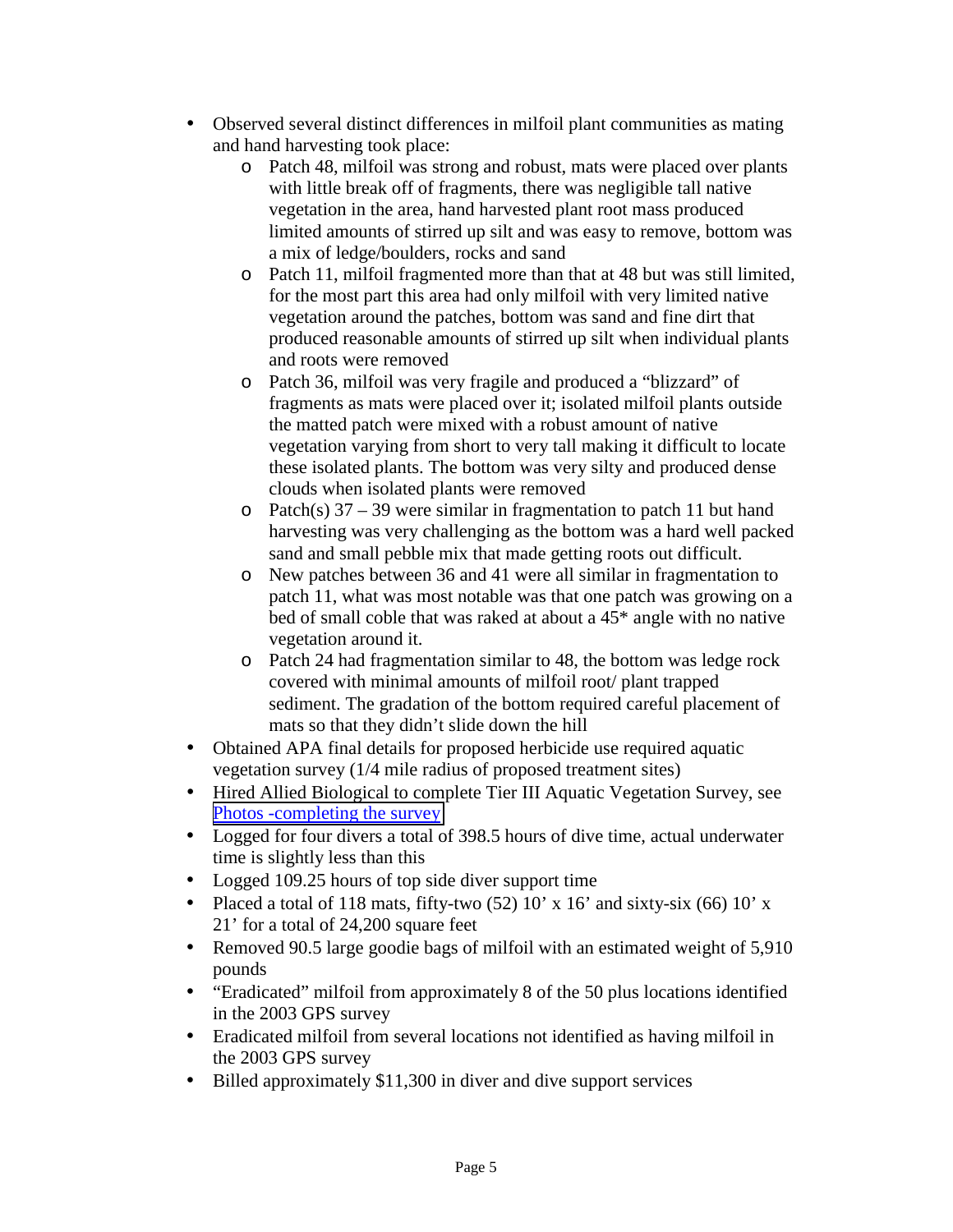- Observed several distinct differences in milfoil plant communities as mating and hand harvesting took place:
	- o Patch 48, milfoil was strong and robust, mats were placed over plants with little break off of fragments, there was negligible tall native vegetation in the area, hand harvested plant root mass produced limited amounts of stirred up silt and was easy to remove, bottom was a mix of ledge/boulders, rocks and sand
	- o Patch 11, milfoil fragmented more than that at 48 but was still limited, for the most part this area had only milfoil with very limited native vegetation around the patches, bottom was sand and fine dirt that produced reasonable amounts of stirred up silt when individual plants and roots were removed
	- o Patch 36, milfoil was very fragile and produced a "blizzard" of fragments as mats were placed over it; isolated milfoil plants outside the matted patch were mixed with a robust amount of native vegetation varying from short to very tall making it difficult to locate these isolated plants. The bottom was very silty and produced dense clouds when isolated plants were removed
	- $\circ$  Patch(s) 37 39 were similar in fragmentation to patch 11 but hand harvesting was very challenging as the bottom was a hard well packed sand and small pebble mix that made getting roots out difficult.
	- o New patches between 36 and 41 were all similar in fragmentation to patch 11, what was most notable was that one patch was growing on a bed of small coble that was raked at about a 45\* angle with no native vegetation around it.
	- o Patch 24 had fragmentation similar to 48, the bottom was ledge rock covered with minimal amounts of milfoil root/ plant trapped sediment. The gradation of the bottom required careful placement of mats so that they didn't slide down the hill
- Obtained APA final details for proposed herbicide use required aquatic vegetation survey (1/4 mile radius of proposed treatment sites)
- Hired Allied Biological to complete Tier III Aquatic Vegetation Survey, see [Photos -completing the survey](http://www.eaglelake1.org/images/2008_photos/plant_survey/plant_survey.html)
- Logged for four divers a total of 398.5 hours of dive time, actual underwater time is slightly less than this
- Logged 109.25 hours of top side diver support time
- Placed a total of 118 mats, fifty-two  $(52)$  10' x 16' and sixty-six  $(66)$  10' x 21' for a total of 24,200 square feet
- Removed 90.5 large goodie bags of milfoil with an estimated weight of 5,910 pounds
- "Eradicated" milfoil from approximately 8 of the 50 plus locations identified in the 2003 GPS survey
- Eradicated milfoil from several locations not identified as having milfoil in the 2003 GPS survey
- Billed approximately \$11,300 in diver and dive support services